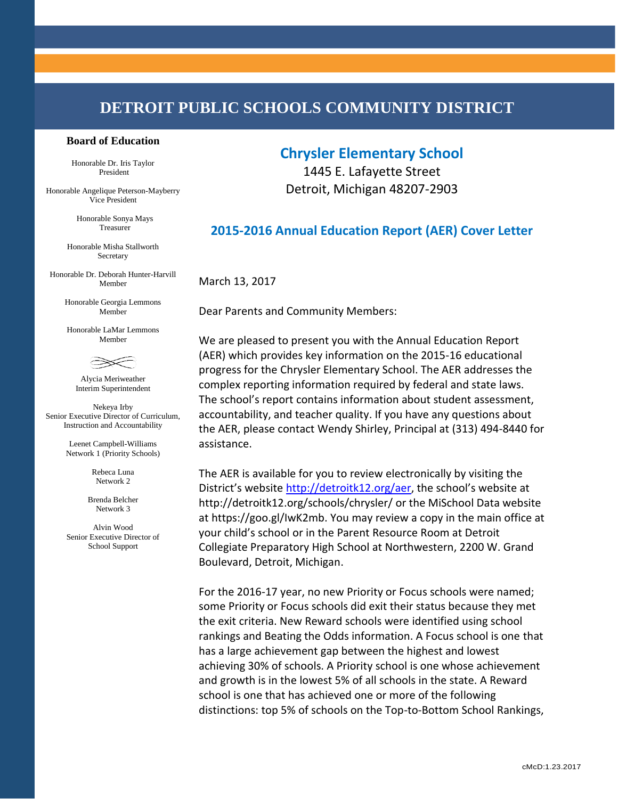# **DETROIT PUBLIC SCHOOLS COMMUNITY DISTRICT**

#### **Board of Education**

Honorable Dr. Iris Taylor President

Honorable Angelique Peterson-Mayberry Vice President

> Honorable Sonya Mays Treasurer

Honorable Misha Stallworth Secretary

Honorable Dr. Deborah Hunter-Harvill Member

> Honorable Georgia Lemmons Member

Honorable LaMar Lemmons Member



Alycia Meriweather Interim Superintendent

Nekeya Irby Senior Executive Director of Curriculum, Instruction and Accountability

> Leenet Campbell-Williams Network 1 (Priority Schools)

> > Rebeca Luna Network 2

Brenda Belcher Network 3

Alvin Wood Senior Executive Director of School Support

### **Chrysler Elementary School**

1445 E. Lafayette Street Detroit, Michigan 48207-2903

### **2015-2016 Annual Education Report (AER) Cover Letter**

March 13, 2017

Dear Parents and Community Members:

We are pleased to present you with the Annual Education Report (AER) which provides key information on the 2015-16 educational progress for the Chrysler Elementary School. The AER addresses the complex reporting information required by federal and state laws. The school's report contains information about student assessment, accountability, and teacher quality. If you have any questions about the AER, please contact Wendy Shirley, Principal at (313) 494-8440 for assistance.

The AER is available for you to review electronically by visiting the District's website <http://detroitk12.org/aer>, the school's website at http://detroitk12.org/schools/chrysler/ or the MiSchool Data website at https://goo.gl/IwK2mb. You may review a copy in the main office at your child's school or in the Parent Resource Room at Detroit Collegiate Preparatory High School at Northwestern, 2200 W. Grand Boulevard, Detroit, Michigan.

For the 2016-17 year, no new Priority or Focus schools were named; some Priority or Focus schools did exit their status because they met the exit criteria. New Reward schools were identified using school rankings and Beating the Odds information. A Focus school is one that has a large achievement gap between the highest and lowest achieving 30% of schools. A Priority school is one whose achievement and growth is in the lowest 5% of all schools in the state. A Reward school is one that has achieved one or more of the following distinctions: top 5% of schools on the Top-to-Bottom School Rankings,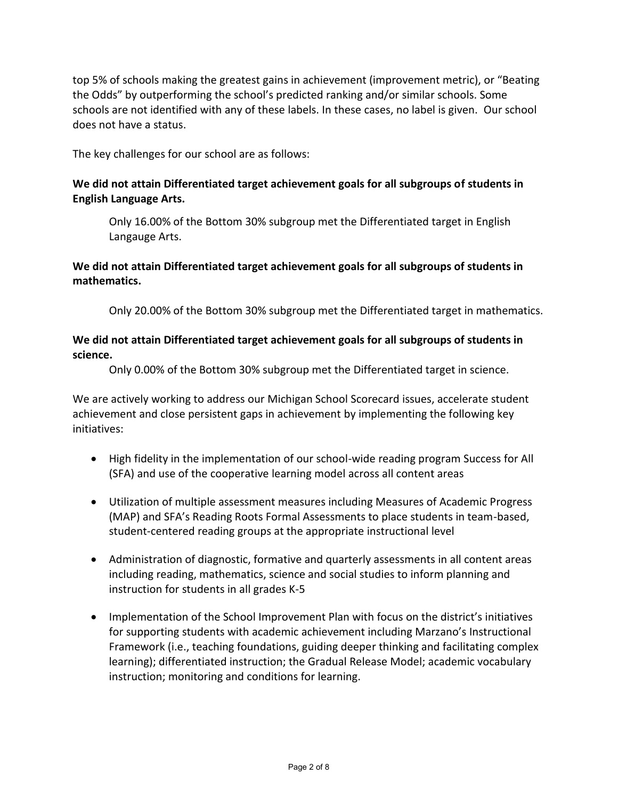top 5% of schools making the greatest gains in achievement (improvement metric), or "Beating the Odds" by outperforming the school's predicted ranking and/or similar schools. Some schools are not identified with any of these labels. In these cases, no label is given. Our school does not have a status.

The key challenges for our school are as follows:

### **We did not attain Differentiated target achievement goals for all subgroups of students in English Language Arts.**

Only 16.00% of the Bottom 30% subgroup met the Differentiated target in English Langauge Arts.

### **We did not attain Differentiated target achievement goals for all subgroups of students in mathematics.**

Only 20.00% of the Bottom 30% subgroup met the Differentiated target in mathematics.

#### **We did not attain Differentiated target achievement goals for all subgroups of students in science.**

Only 0.00% of the Bottom 30% subgroup met the Differentiated target in science.

We are actively working to address our Michigan School Scorecard issues, accelerate student achievement and close persistent gaps in achievement by implementing the following key initiatives:

- High fidelity in the implementation of our school-wide reading program Success for All (SFA) and use of the cooperative learning model across all content areas
- Utilization of multiple assessment measures including Measures of Academic Progress (MAP) and SFA's Reading Roots Formal Assessments to place students in team-based, student-centered reading groups at the appropriate instructional level
- Administration of diagnostic, formative and quarterly assessments in all content areas including reading, mathematics, science and social studies to inform planning and instruction for students in all grades K-5
- Implementation of the School Improvement Plan with focus on the district's initiatives for supporting students with academic achievement including Marzano's Instructional Framework (i.e., teaching foundations, guiding deeper thinking and facilitating complex learning); differentiated instruction; the Gradual Release Model; academic vocabulary instruction; monitoring and conditions for learning.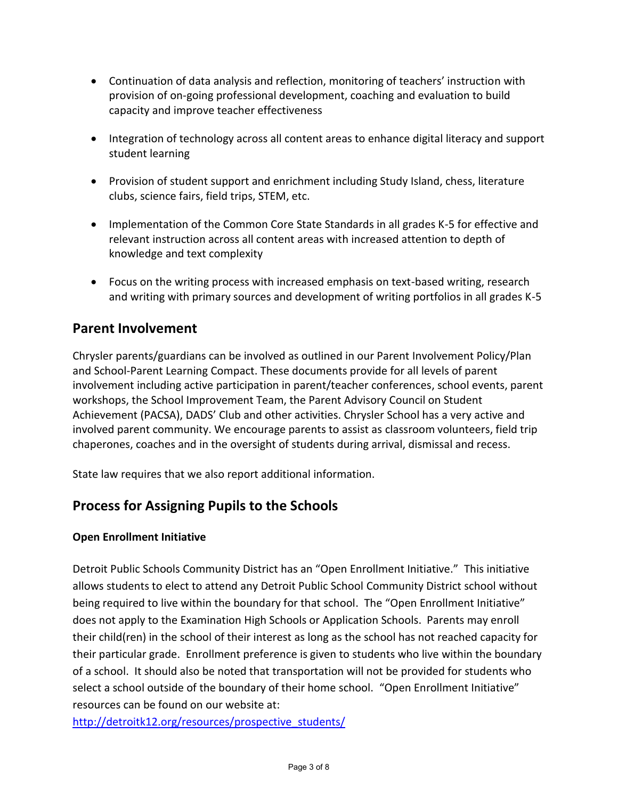- Continuation of data analysis and reflection, monitoring of teachers' instruction with provision of on-going professional development, coaching and evaluation to build capacity and improve teacher effectiveness
- Integration of technology across all content areas to enhance digital literacy and support student learning
- Provision of student support and enrichment including Study Island, chess, literature clubs, science fairs, field trips, STEM, etc.
- Implementation of the Common Core State Standards in all grades K-5 for effective and relevant instruction across all content areas with increased attention to depth of knowledge and text complexity
- Focus on the writing process with increased emphasis on text-based writing, research and writing with primary sources and development of writing portfolios in all grades K-5

## **Parent Involvement**

Chrysler parents/guardians can be involved as outlined in our Parent Involvement Policy/Plan and School-Parent Learning Compact. These documents provide for all levels of parent involvement including active participation in parent/teacher conferences, school events, parent workshops, the School Improvement Team, the Parent Advisory Council on Student Achievement (PACSA), DADS' Club and other activities. Chrysler School has a very active and involved parent community. We encourage parents to assist as classroom volunteers, field trip chaperones, coaches and in the oversight of students during arrival, dismissal and recess.

State law requires that we also report additional information.

## **Process for Assigning Pupils to the Schools**

### **Open Enrollment Initiative**

Detroit Public Schools Community District has an "Open Enrollment Initiative." This initiative allows students to elect to attend any Detroit Public School Community District school without being required to live within the boundary for that school. The "Open Enrollment Initiative" does not apply to the Examination High Schools or Application Schools. Parents may enroll their child(ren) in the school of their interest as long as the school has not reached capacity for their particular grade. Enrollment preference is given to students who live within the boundary of a school. It should also be noted that transportation will not be provided for students who select a school outside of the boundary of their home school. "Open Enrollment Initiative" resources can be found on our website at:

[http://detroitk12.org/resources/prospective\\_students/](http://detroitk12.org/resources/prospective_students/)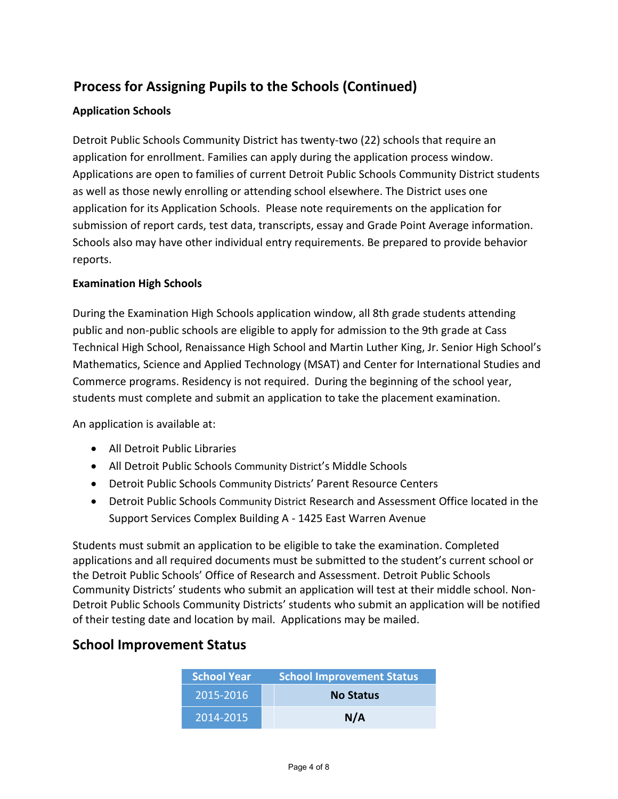# **Process for Assigning Pupils to the Schools (Continued)**

### **Application Schools**

Detroit Public Schools Community District has twenty-two (22) schools that require an application for enrollment. Families can apply during the application process window. Applications are open to families of current Detroit Public Schools Community District students as well as those newly enrolling or attending school elsewhere. The District uses one application for its Application Schools. Please note requirements on the application for submission of report cards, test data, transcripts, essay and Grade Point Average information. Schools also may have other individual entry requirements. Be prepared to provide behavior reports.

#### **Examination High Schools**

During the Examination High Schools application window, all 8th grade students attending public and non-public schools are eligible to apply for admission to the 9th grade at Cass Technical High School, Renaissance High School and Martin Luther King, Jr. Senior High School's Mathematics, Science and Applied Technology (MSAT) and Center for International Studies and Commerce programs. Residency is not required. During the beginning of the school year, students must complete and submit an application to take the placement examination.

An application is available at:

- All Detroit Public Libraries
- All Detroit Public Schools Community District's Middle Schools
- Detroit Public Schools Community Districts' Parent Resource Centers
- Detroit Public Schools Community District Research and Assessment Office located in the Support Services Complex Building A - 1425 East Warren Avenue

Students must submit an application to be eligible to take the examination. Completed applications and all required documents must be submitted to the student's current school or the Detroit Public Schools' Office of Research and Assessment. Detroit Public Schools Community Districts' students who submit an application will test at their middle school. Non-Detroit Public Schools Community Districts' students who submit an application will be notified of their testing date and location by mail. Applications may be mailed.

### **School Improvement Status**

| <b>School Year</b> | <b>School Improvement Status</b> |  |
|--------------------|----------------------------------|--|
| 2015-2016          | <b>No Status</b>                 |  |
| 2014-2015          | N/A                              |  |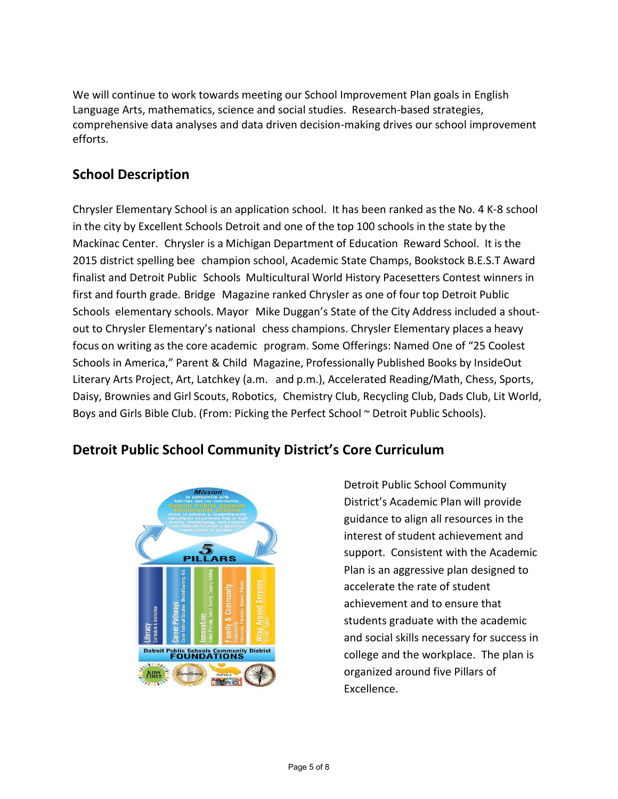We will continue to work towards meeting our School Improvement Plan goals in English Language Arts, mathematics, science and social studies. Research-based strategies, comprehensive data analyses and data driven decision-making drives our school improvement efforts.

## **School Description**

Chrysler Elementary School is an application school. It has been ranked as the No. 4 K-8 school in the city by Excellent Schools Detroit and one of the top 100 schools in the state by the Mackinac Center. Chrysler is a Michigan Department of Education Reward School. It is the 2015 district spelling bee champion school, Academic State Champs, Bookstock B.E.S.T Award finalist and Detroit Public Schools Multicultural World History Pacesetters Contest winners in first and fourth grade. Bridge Magazine ranked Chrysler as one of four top Detroit Public Schools elementary schools. Mayor Mike Duggan's State of the City Address included a shoutout to Chrysler Elementary's national chess champions. Chrysler Elementary places a heavy focus on writing as the core academic program. Some Offerings: Named One of "25 Coolest Schools in America," Parent & Child Magazine, Professionally Published Books by InsideOut Literary Arts Project, Art, Latchkey (a.m. and p.m.), Accelerated Reading/Math, Chess, Sports, Daisy, Brownies and Girl Scouts, Robotics, Chemistry Club, Recycling Club, Dads Club, Lit World, Boys and Girls Bible Club. (From: Picking the Perfect School ~ Detroit Public Schools).

## **Detroit Public School Community District's Core Curriculum**



Detroit Public School Community District's Academic Plan will provide guidance to align all resources in the interest of student achievement and support. Consistent with the Academic Plan is an aggressive plan designed to accelerate the rate of student achievement and to ensure that students graduate with the academic and social skills necessary for success in college and the workplace. The plan is organized around five Pillars of Excellence.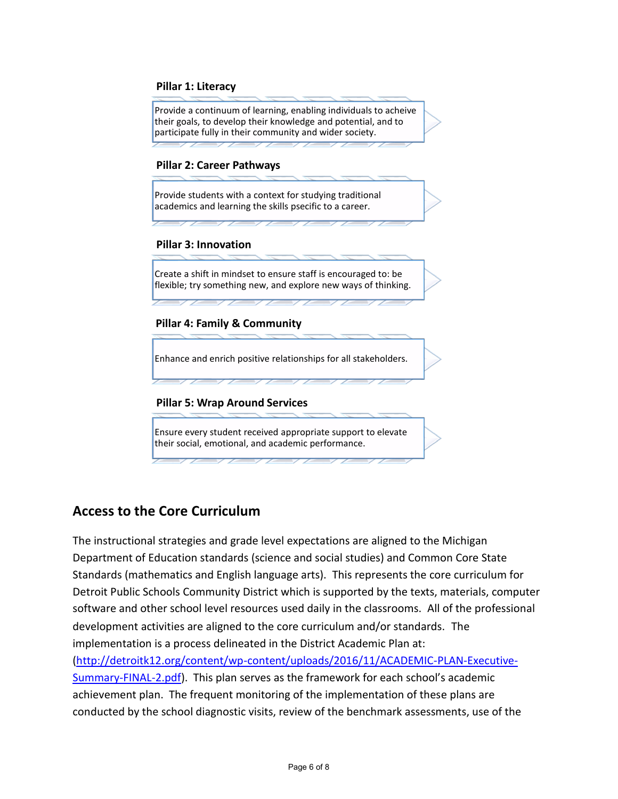#### **Pillar 1: Literacy**

Provide a continuum of learning, enabling individuals to acheive their goals, to develop their knowledge and potential, and to participate fully in their community and wider society.

#### **Pillar 2: Career Pathways**

Provide students with a context for studying traditional academics and learning the skills psecific to a career.

#### **Pillar 3: Innovation**

Create a shift in mindset to ensure staff is encouraged to: be flexible; try something new, and explore new ways of thinking.

#### **Pillar 4: Family & Community**

Enhance and enrich positive relationships for all stakeholders.

#### **Pillar 5: Wrap Around Services**

Ensure every student received appropriate support to elevate their social, emotional, and academic performance.

### **Access to the Core Curriculum**

The instructional strategies and grade level expectations are aligned to the Michigan Department of Education standards (science and social studies) and Common Core State Standards (mathematics and English language arts). This represents the core curriculum for Detroit Public Schools Community District which is supported by the texts, materials, computer software and other school level resources used daily in the classrooms. All of the professional development activities are aligned to the core curriculum and/or standards. The implementation is a process delineated in the District Academic Plan at: [\(http://detroitk12.org/content/wp-content/uploads/2016/11/ACADEMIC-PLAN-Executive-](http://detroitk12.org/content/wp-content/uploads/2016/11/ACADEMIC-PLAN-Executive-Summary-FINAL-2.pdf)[Summary-FINAL-2.pdf](http://detroitk12.org/content/wp-content/uploads/2016/11/ACADEMIC-PLAN-Executive-Summary-FINAL-2.pdf)). This plan serves as the framework for each school's academic achievement plan. The frequent monitoring of the implementation of these plans are conducted by the school diagnostic visits, review of the benchmark assessments, use of the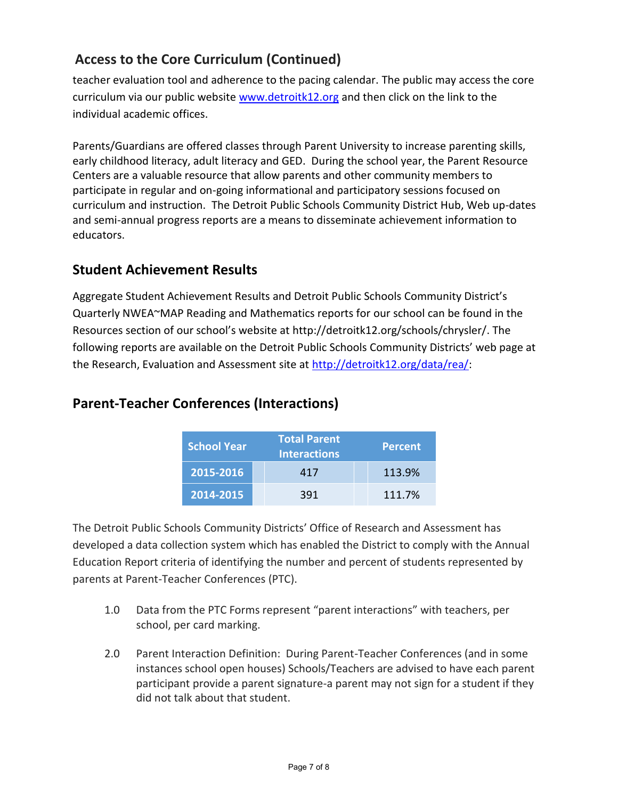## **Access to the Core Curriculum (Continued)**

teacher evaluation tool and adherence to the pacing calendar. The public may access the core curriculum via our public website [www.detroitk12.org](http://www.detroitk12.org/) and then click on the link to the individual academic offices.

Parents/Guardians are offered classes through Parent University to increase parenting skills, early childhood literacy, adult literacy and GED. During the school year, the Parent Resource Centers are a valuable resource that allow parents and other community members to participate in regular and on-going informational and participatory sessions focused on curriculum and instruction. The Detroit Public Schools Community District Hub, Web up-dates and semi-annual progress reports are a means to disseminate achievement information to educators.

## **Student Achievement Results**

Aggregate Student Achievement Results and Detroit Public Schools Community District's Quarterly NWEA~MAP Reading and Mathematics reports for our school can be found in the Resources section of our school's website at http://detroitk12.org/schools/chrysler/. The following reports are available on the Detroit Public Schools Community Districts' web page at the Research, Evaluation and Assessment site at [http://detroitk12.org/data/rea/:](http://detroitk12.org/data/rea/)

| <b>School Year</b> | <b>Total Parent</b><br><b>Interactions</b> | <b>Percent</b> |
|--------------------|--------------------------------------------|----------------|
| 2015-2016          | 417                                        | 113.9%         |
| 2014-2015          | 391                                        | 111.7%         |

## **Parent-Teacher Conferences (Interactions)**

The Detroit Public Schools Community Districts' Office of Research and Assessment has developed a data collection system which has enabled the District to comply with the Annual Education Report criteria of identifying the number and percent of students represented by parents at Parent-Teacher Conferences (PTC).

- 1.0 Data from the PTC Forms represent "parent interactions" with teachers, per school, per card marking.
- 2.0 Parent Interaction Definition: During Parent-Teacher Conferences (and in some instances school open houses) Schools/Teachers are advised to have each parent participant provide a parent signature-a parent may not sign for a student if they did not talk about that student.